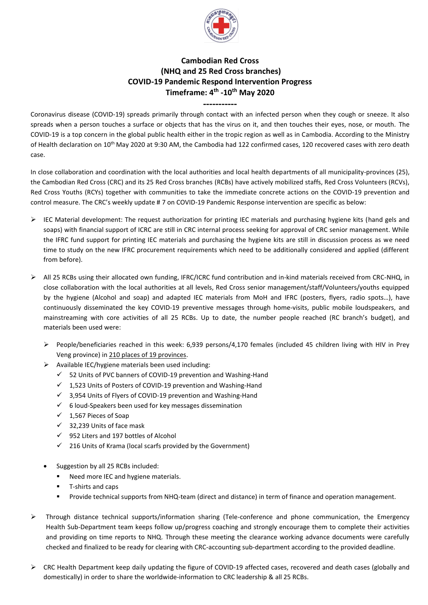

## **Cambodian Red Cross (NHQ and 25 Red Cross branches) COVID-19 Pandemic Respond Intervention Progress Timeframe: 4 th -10th May 2020**

**-----------**

Coronavirus disease (COVID-19) spreads primarily through contact with an infected person when they cough or sneeze. It also spreads when a person touches a surface or objects that has the virus on it, and then touches their eyes, nose, or mouth. The COVID-19 is a top concern in the global public health either in the tropic region as well as in Cambodia. According to the Ministry of Health declaration on 10<sup>th</sup> May 2020 at 9:30 AM, the Cambodia had 122 confirmed cases, 120 recovered cases with zero death case.

In close collaboration and coordination with the local authorities and local health departments of all municipality-provinces (25), the Cambodian Red Cross (CRC) and its 25 Red Cross branches (RCBs) have actively mobilized staffs, Red Cross Volunteers (RCVs), Red Cross Youths (RCYs) together with communities to take the immediate concrete actions on the COVID-19 prevention and control measure. The CRC's weekly update # 7 on COVID-19 Pandemic Response intervention are specific as below:

- $\triangleright$  IEC Material development: The request authorization for printing IEC materials and purchasing hygiene kits (hand gels and soaps) with financial support of ICRC are still in CRC internal process seeking for approval of CRC senior management. While the IFRC fund support for printing IEC materials and purchasing the hygiene kits are still in discussion process as we need time to study on the new IFRC procurement requirements which need to be additionally considered and applied (different from before).
- ➢ All 25 RCBs using their allocated own funding, IFRC/ICRC fund contribution and in-kind materials received from CRC-NHQ, in close collaboration with the local authorities at all levels, Red Cross senior management/staff/Volunteers/youths equipped by the hygiene (Alcohol and soap) and adapted IEC materials from MoH and IFRC (posters, flyers, radio spots…), have continuously disseminated the key COVID-19 preventive messages through home-visits, public mobile loudspeakers, and mainstreaming with core activities of all 25 RCBs. Up to date, the number people reached (RC branch's budget), and materials been used were:
	- $\triangleright$  People/beneficiaries reached in this week: 6,939 persons/4,170 females (included 45 children living with HIV in Prey Veng province) in 210 places of 19 provinces.
	- ➢ Available IEC/hygiene materials been used including:
		- ✓ 52 Units of PVC banners of COVID-19 prevention and Washing-Hand
		- $\checkmark$  1.523 Units of Posters of COVID-19 prevention and Washing-Hand
		- ✓ 3,954 Units of Flyers of COVID-19 prevention and Washing-Hand
		- $\checkmark$  6 loud-Speakers been used for key messages dissemination
		- $\checkmark$  1,567 Pieces of Soap
		- ✓ 32,239 Units of face mask
		- ✓ 952 Liters and 197 bottles of Alcohol
		- $\checkmark$  216 Units of Krama (local scarfs provided by the Government)
	- Suggestion by all 25 RCBs included:
		- Need more IEC and hygiene materials.
		- T-shirts and caps
		- Provide technical supports from NHQ-team (direct and distance) in term of finance and operation management.
- ➢ Through distance technical supports/information sharing (Tele-conference and phone communication, the Emergency Health Sub-Department team keeps follow up/progress coaching and strongly encourage them to complete their activities and providing on time reports to NHQ. Through these meeting the clearance working advance documents were carefully checked and finalized to be ready for clearing with CRC-accounting sub-department according to the provided deadline.
- ➢ CRC Health Department keep daily updating the figure of COVID-19 affected cases, recovered and death cases (globally and domestically) in order to share the worldwide-information to CRC leadership & all 25 RCBs.